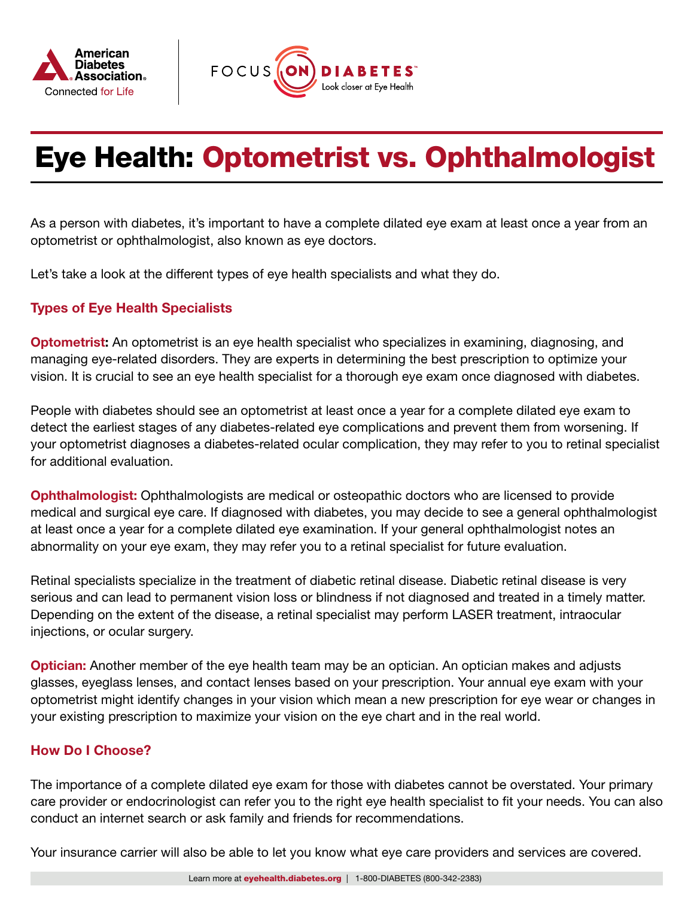



# Eye Health: Optometrist vs. Ophthalmologist

As a person with diabetes, it's important to have a complete dilated eye exam at least once a year from an optometrist or ophthalmologist, also known as eye doctors.

Let's take a look at the different types of eye health specialists and what they do.

## Types of Eye Health Specialists

**[Optometrist:](https://www.aoa.org/?sso=y)** An optometrist is an eye health specialist who specializes in examining, diagnosing, and managing eye-related disorders. They are experts in determining the best prescription to optimize your vision. It is crucial to see an eye health specialist for a thorough eye exam once diagnosed with diabetes.

People with diabetes should see an optometrist at least once a year for a complete dilated eye exam to detect the earliest stages of any diabetes-related eye complications and prevent them from worsening. If your optometrist diagnoses a diabetes-related ocular complication, they may refer to you to retinal specialist for additional evaluation.

**[Ophthalmologist:](https://www.aao.org/)** Ophthalmologists are medical or osteopathic doctors who are licensed to provide medical and surgical eye care. If diagnosed with diabetes, you may decide to see a general ophthalmologist at least once a year for a complete dilated eye examination. If your general ophthalmologist notes an abnormality on your eye exam, they may refer you to a retinal specialist for future evaluation.

Retinal specialists specialize in the treatment of diabetic retinal disease. Diabetic retinal disease is very serious and can lead to permanent vision loss or blindness if not diagnosed and treated in a timely matter. Depending on the extent of the disease, a retinal specialist may perform LASER treatment, intraocular injections, or ocular surgery.

**[Optician:](https://oaa.org/)** Another member of the eye health team may be an optician. An optician makes and adjusts glasses, eyeglass lenses, and contact lenses based on your prescription. Your annual eye exam with your optometrist might identify changes in your vision which mean a new prescription for eye wear or changes in your existing prescription to maximize your vision on the eye chart and in the real world.

#### How Do I Choose?

The importance of a complete dilated eye exam for those with diabetes cannot be overstated. Your primary care provider or endocrinologist can refer you to the right eye health specialist to fit your needs. You can also conduct an internet search or ask family and friends for recommendations.

Your insurance carrier will also be able to let you know what eye care providers and services are covered.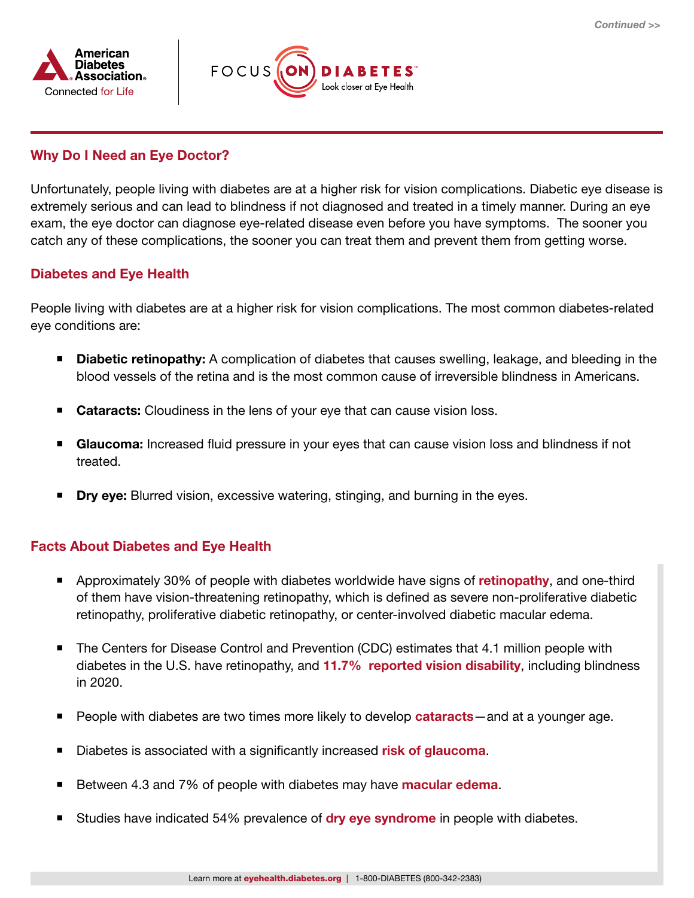



## Why Do I Need an Eye Doctor?

Unfortunately, people living with diabetes are at a higher risk for vision complications. Diabetic eye disease is extremely serious and can lead to blindness if not diagnosed and treated in a timely manner. During an eye exam, the eye doctor can diagnose eye-related disease even before you have symptoms. The sooner you catch any of these complications, the sooner you can treat them and prevent them from getting worse.

### Diabetes and Eye Health

People living with diabetes are at a higher risk for vision complications. The most common diabetes-related eye conditions are:

- **[Diabetic retinopathy:](https://www.asrs.org/patients/retinal-diseases/3/diabetic-retinopathy)** A complication of diabetes that causes swelling, leakage, and bleeding in the blood vessels of the retina and is the most common cause of irreversible blindness in Americans.
- **Cataracts:** Cloudiness in the lens of your eye that can cause vision loss.
- **Glaucoma:** Increased fluid pressure in your eyes that can cause vision loss and blindness if not treated.
- **Dry eye:** Blurred vision, excessive watering, stinging, and burning in the eyes.

#### Facts About Diabetes and Eye Health

- **Approximately 30% of people with diabetes worldwide have signs of [retinopathy](https://www.asrs.org/patients/retinal-diseases/3/diabetic-retinopathy), and one-third** of them have vision-threatening retinopathy, which is defined as severe non-proliferative diabetic retinopathy, proliferative diabetic retinopathy, or center-involved diabetic macular edema.
- The Centers for Disease Control and Prevention (CDC) estimates that 4.1 million people with diabetes in the U.S. have retinopathy, and [11.7% reported vision disability](https://www.cdc.gov/diabetes/pdfs/data/statistics/national-diabetes-statistics-report.pdf), including blindness in 2020.
- People with diabetes are two times more likely to develop **[cataracts](https://www.ncbi.nlm.nih.gov/pmc/articles/PMC6422859/pdf/WJD-10-140.pdf)**—and at a younger age.
- Diabetes is associated with a significantly increased [risk of glaucoma](https://www.ncbi.nlm.nih.gov/pmc/articles/PMC5596230/).
- Between 4.3 and 7% of people with diabetes may have **[macular edema](https://www.ncbi.nlm.nih.gov/pmc/articles/PMC6375398/)**.
- Studies have indicated 54% prevalence of [dry eye syndrome](https://www.ncbi.nlm.nih.gov/pmc/articles/PMC4861815/) in people with diabetes.